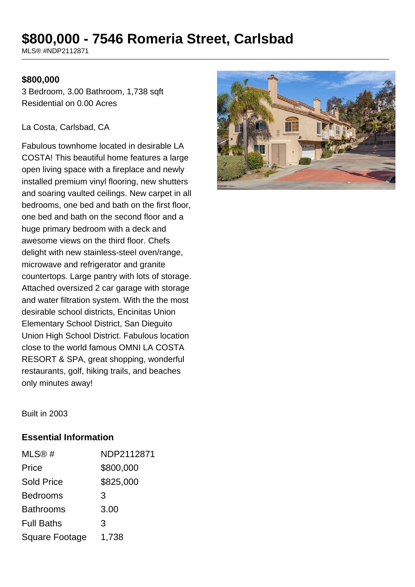# **\$800,000 - 7546 Romeria Street, Carlsbad**

MLS® #NDP2112871

#### **\$800,000**

3 Bedroom, 3.00 Bathroom, 1,738 sqft Residential on 0.00 Acres

#### La Costa, Carlsbad, CA

Fabulous townhome located in desirable LA COSTA! This beautiful home features a large open living space with a fireplace and newly installed premium vinyl flooring, new shutters and soaring vaulted ceilings. New carpet in all bedrooms, one bed and bath on the first floor, one bed and bath on the second floor and a huge primary bedroom with a deck and awesome views on the third floor. Chefs delight with new stainless-steel oven/range, microwave and refrigerator and granite countertops. Large pantry with lots of storage. Attached oversized 2 car garage with storage and water filtration system. With the the most desirable school districts, Encinitas Union Elementary School District, San Dieguito Union High School District. Fabulous location close to the world famous OMNI LA COSTA RESORT & SPA, great shopping, wonderful restaurants, golf, hiking trails, and beaches only minutes away!



Built in 2003

#### **Essential Information**

| MLS®#                 | NDP2112871 |
|-----------------------|------------|
| Price                 | \$800,000  |
| <b>Sold Price</b>     | \$825,000  |
| <b>Bedrooms</b>       | 3          |
| <b>Bathrooms</b>      | 3.00       |
| <b>Full Baths</b>     | 3          |
| <b>Square Footage</b> | 1,738      |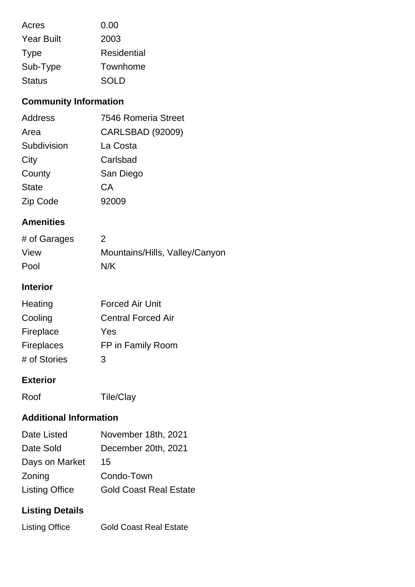| Acres             | 0.00        |  |
|-------------------|-------------|--|
| <b>Year Built</b> | 2003        |  |
| <b>Type</b>       | Residential |  |
| Sub-Type          | Townhome    |  |
| <b>Status</b>     | <b>SOLD</b> |  |

### **Community Information**

| <b>Address</b> | 7546 Romeria Street     |
|----------------|-------------------------|
| Area           | <b>CARLSBAD (92009)</b> |
| Subdivision    | La Costa                |
| City           | Carlsbad                |
| County         | San Diego               |
| <b>State</b>   | CА                      |
| Zip Code       | 92009                   |

#### **Amenities**

| # of Garages | 2                              |
|--------------|--------------------------------|
| View         | Mountains/Hills, Valley/Canyon |
| Pool         | N/K                            |

### **Interior**

| Heating           | <b>Forced Air Unit</b>    |
|-------------------|---------------------------|
| Cooling           | <b>Central Forced Air</b> |
| Fireplace         | Yes                       |
| <b>Fireplaces</b> | FP in Family Room         |
| # of Stories      | 3                         |

#### **Exterior**

Roof Tile/Clay

### **Additional Information**

| Date Listed           | November 18th, 2021           |
|-----------------------|-------------------------------|
| Date Sold             | December 20th, 2021           |
| Days on Market        | 15                            |
| Zoning                | Condo-Town                    |
| <b>Listing Office</b> | <b>Gold Coast Real Estate</b> |

## **Listing Details**

| <b>Listing Office</b> | <b>Gold Coast Real Estate</b> |
|-----------------------|-------------------------------|
|                       |                               |